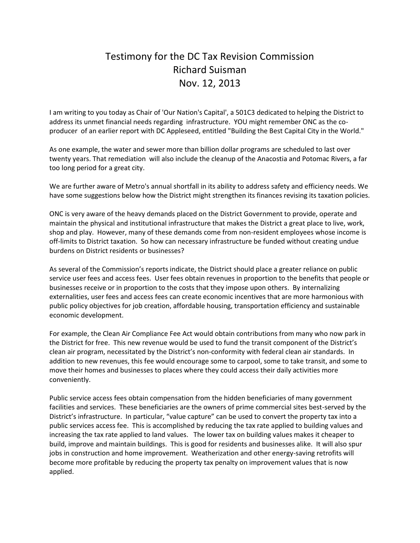## Testimony for the DC Tax Revision Commission Richard Suisman Nov. 12, 2013

I am writing to you today as Chair of 'Our Nation's Capital', a 501C3 dedicated to helping the District to address its unmet financial needs regarding infrastructure. YOU might remember ONC as the coproducer of an earlier report with DC Appleseed, entitled "Building the Best Capital City in the World."

As one example, the water and sewer more than billion dollar programs are scheduled to last over twenty years. That remediation will also include the cleanup of the Anacostia and Potomac Rivers, a far too long period for a great city.

We are further aware of Metro's annual shortfall in its ability to address safety and efficiency needs. We have some suggestions below how the District might strengthen its finances revising its taxation policies.

ONC is very aware of the heavy demands placed on the District Government to provide, operate and maintain the physical and institutional infrastructure that makes the District a great place to live, work, shop and play. However, many of these demands come from non-resident employees whose income is off-limits to District taxation. So how can necessary infrastructure be funded without creating undue burdens on District residents or businesses?

As several of the Commission's reports indicate, the District should place a greater reliance on public service user fees and access fees. User fees obtain revenues in proportion to the benefits that people or businesses receive or in proportion to the costs that they impose upon others. By internalizing externalities, user fees and access fees can create economic incentives that are more harmonious with public policy objectives for job creation, affordable housing, transportation efficiency and sustainable economic development.

For example, the Clean Air Compliance Fee Act would obtain contributions from many who now park in the District for free. This new revenue would be used to fund the transit component of the District's clean air program, necessitated by the District's non-conformity with federal clean air standards. In addition to new revenues, this fee would encourage some to carpool, some to take transit, and some to move their homes and businesses to places where they could access their daily activities more conveniently.

Public service access fees obtain compensation from the hidden beneficiaries of many government facilities and services. These beneficiaries are the owners of prime commercial sites best-served by the District's infrastructure. In particular, "value capture" can be used to convert the property tax into a public services access fee. This is accomplished by reducing the tax rate applied to building values and increasing the tax rate applied to land values. The lower tax on building values makes it cheaper to build, improve and maintain buildings. This is good for residents and businesses alike. It will also spur jobs in construction and home improvement. Weatherization and other energy-saving retrofits will become more profitable by reducing the property tax penalty on improvement values that is now applied.